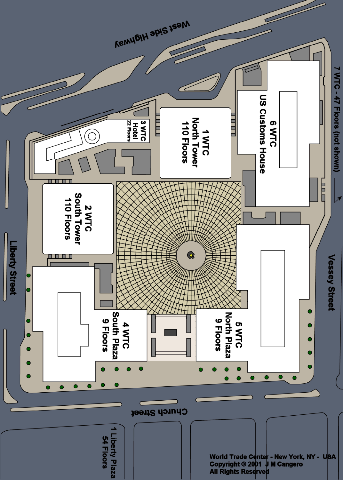